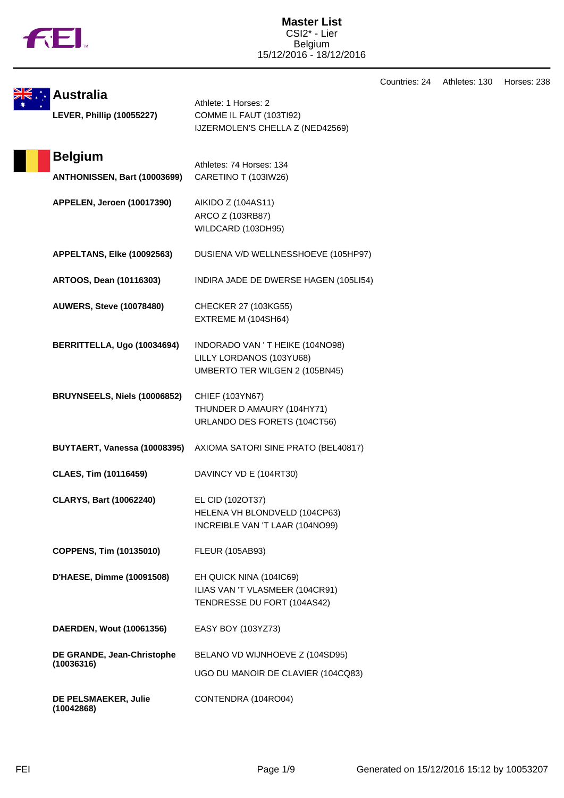

Countries: 24 Athletes: 130 Horses: 238

|                                                |                                                                                               | Countries: 24 | - 1 |
|------------------------------------------------|-----------------------------------------------------------------------------------------------|---------------|-----|
| <b>Australia</b><br>LEVER, Phillip (10055227)  | Athlete: 1 Horses: 2<br>COMME IL FAUT (103TI92)<br>IJZERMOLEN'S CHELLA Z (NED42569)           |               |     |
| <b>Belgium</b><br>ANTHONISSEN, Bart (10003699) | Athletes: 74 Horses: 134<br>CARETINO T (103IW26)                                              |               |     |
| APPELEN, Jeroen (10017390)                     | AIKIDO Z (104AS11)<br>ARCO Z (103RB87)<br>WILDCARD (103DH95)                                  |               |     |
| APPELTANS, Elke (10092563)                     | DUSIENA V/D WELLNESSHOEVE (105HP97)                                                           |               |     |
| ARTOOS, Dean (10116303)                        | INDIRA JADE DE DWERSE HAGEN (105LI54)                                                         |               |     |
| <b>AUWERS, Steve (10078480)</b>                | CHECKER 27 (103KG55)<br>EXTREME M (104SH64)                                                   |               |     |
| BERRITTELLA, Ugo (10034694)                    | INDORADO VAN 'T HEIKE (104NO98)<br>LILLY LORDANOS (103YU68)<br>UMBERTO TER WILGEN 2 (105BN45) |               |     |
| BRUYNSEELS, Niels (10006852)                   | CHIEF (103YN67)<br>THUNDER D AMAURY (104HY71)<br>URLANDO DES FORETS (104CT56)                 |               |     |
| BUYTAERT, Vanessa (10008395)                   | AXIOMA SATORI SINE PRATO (BEL40817)                                                           |               |     |
| <b>CLAES, Tim (10116459)</b>                   | DAVINCY VD E (104RT30)                                                                        |               |     |
| <b>CLARYS, Bart (10062240)</b>                 | EL CID (102OT37)<br>HELENA VH BLONDVELD (104CP63)<br>INCREIBLE VAN 'T LAAR (104NO99)          |               |     |
| COPPENS, Tim (10135010)                        | <b>FLEUR (105AB93)</b>                                                                        |               |     |
| D'HAESE, Dimme (10091508)                      | EH QUICK NINA (104IC69)<br>ILIAS VAN 'T VLASMEER (104CR91)<br>TENDRESSE DU FORT (104AS42)     |               |     |
| DAERDEN, Wout (10061356)                       | EASY BOY (103YZ73)                                                                            |               |     |
| DE GRANDE, Jean-Christophe<br>(10036316)       | BELANO VD WIJNHOEVE Z (104SD95)<br>UGO DU MANOIR DE CLAVIER (104CQ83)                         |               |     |
| DE PELSMAEKER, Julie<br>(10042868)             | CONTENDRA (104RO04)                                                                           |               |     |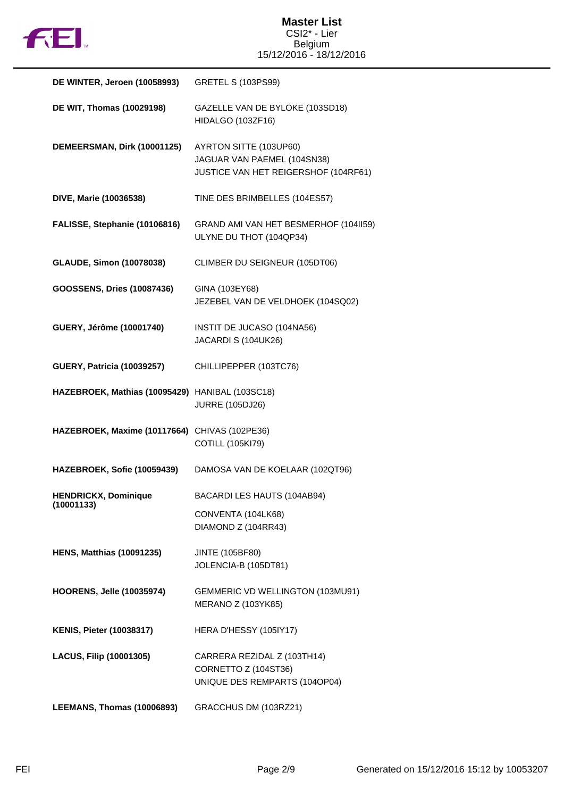

| DE WINTER, Jeroen (10058993)                    | <b>GRETEL S (103PS99)</b>                                                                     |
|-------------------------------------------------|-----------------------------------------------------------------------------------------------|
| DE WIT, Thomas (10029198)                       | GAZELLE VAN DE BYLOKE (103SD18)<br>HIDALGO (103ZF16)                                          |
| DEMEERSMAN, Dirk (10001125)                     | AYRTON SITTE (103UP60)<br>JAGUAR VAN PAEMEL (104SN38)<br>JUSTICE VAN HET REIGERSHOF (104RF61) |
| DIVE, Marie (10036538)                          | TINE DES BRIMBELLES (104ES57)                                                                 |
| FALISSE, Stephanie (10106816)                   | GRAND AMI VAN HET BESMERHOF (104II59)<br>ULYNE DU THOT (104QP34)                              |
| <b>GLAUDE, Simon (10078038)</b>                 | CLIMBER DU SEIGNEUR (105DT06)                                                                 |
| GOOSSENS, Dries (10087436)                      | GINA (103EY68)<br>JEZEBEL VAN DE VELDHOEK (104SQ02)                                           |
| GUERY, Jérôme (10001740)                        | INSTIT DE JUCASO (104NA56)<br>JACARDI S (104UK26)                                             |
| <b>GUERY, Patricia (10039257)</b>               | CHILLIPEPPER (103TC76)                                                                        |
| HAZEBROEK, Mathias (10095429) HANIBAL (103SC18) | <b>JURRE (105DJ26)</b>                                                                        |
| HAZEBROEK, Maxime (10117664) CHIVAS (102PE36)   | <b>COTILL (105KI79)</b>                                                                       |
| HAZEBROEK, Sofie (10059439)                     | DAMOSA VAN DE KOELAAR (102QT96)                                                               |
| <b>HENDRICKX, Dominique</b><br>(10001133)       | BACARDI LES HAUTS (104AB94)                                                                   |
|                                                 | CONVENTA (104LK68)<br>DIAMOND Z (104RR43)                                                     |
| <b>HENS, Matthias (10091235)</b>                | <b>JINTE (105BF80)</b><br>JOLENCIA-B (105DT81)                                                |
| <b>HOORENS, Jelle (10035974)</b>                | GEMMERIC VD WELLINGTON (103MU91)<br><b>MERANO Z (103YK85)</b>                                 |
| <b>KENIS, Pieter (10038317)</b>                 | HERA D'HESSY (105IY17)                                                                        |
| LACUS, Filip (10001305)                         | CARRERA REZIDAL Z (103TH14)<br>CORNETTO Z (104ST36)<br>UNIQUE DES REMPARTS (104OP04)          |
| LEEMANS, Thomas (10006893)                      | GRACCHUS DM (103RZ21)                                                                         |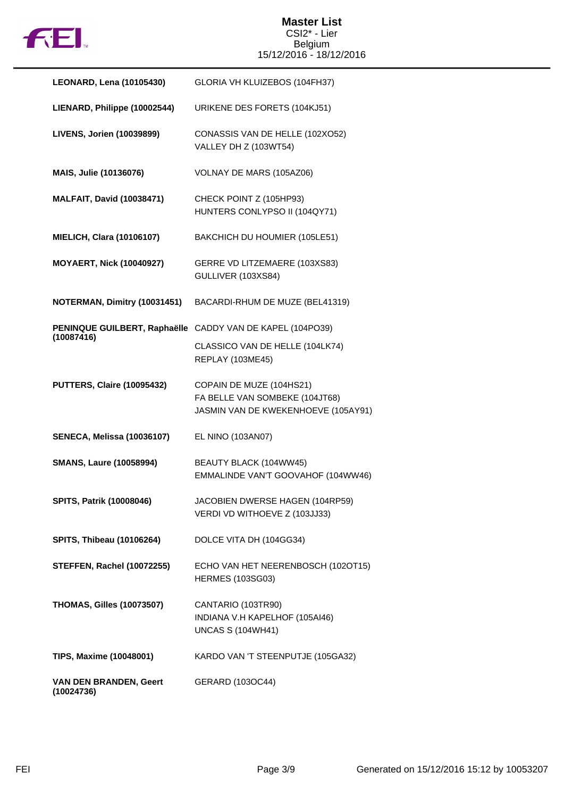

## **Master List** CSI2\* - Lier Belgium 15/12/2016 - 18/12/2016

| <b>LEONARD, Lena (10105430)</b>      | GLORIA VH KLUIZEBOS (104FH37)                                                                     |
|--------------------------------------|---------------------------------------------------------------------------------------------------|
| LIENARD, Philippe (10002544)         | URIKENE DES FORETS (104KJ51)                                                                      |
| LIVENS, Jorien (10039899)            | CONASSIS VAN DE HELLE (102XO52)<br>VALLEY DH Z (103WT54)                                          |
| MAIS, Julie (10136076)               | VOLNAY DE MARS (105AZ06)                                                                          |
| <b>MALFAIT, David (10038471)</b>     | CHECK POINT Z (105HP93)<br>HUNTERS CONLYPSO II (104QY71)                                          |
| <b>MIELICH, Clara (10106107)</b>     | BAKCHICH DU HOUMIER (105LE51)                                                                     |
| <b>MOYAERT, Nick (10040927)</b>      | GERRE VD LITZEMAERE (103XS83)<br>GULLIVER (103XS84)                                               |
| NOTERMAN, Dimitry (10031451)         | BACARDI-RHUM DE MUZE (BEL41319)                                                                   |
| (10087416)                           | PENINQUE GUILBERT, Raphaëlle CADDY VAN DE KAPEL (104PO39)                                         |
|                                      | CLASSICO VAN DE HELLE (104LK74)<br><b>REPLAY (103ME45)</b>                                        |
| <b>PUTTERS, Claire (10095432)</b>    | COPAIN DE MUZE (104HS21)<br>FA BELLE VAN SOMBEKE (104JT68)<br>JASMIN VAN DE KWEKENHOEVE (105AY91) |
| <b>SENECA, Melissa (10036107)</b>    | EL NINO (103AN07)                                                                                 |
| <b>SMANS, Laure (10058994)</b>       | BEAUTY BLACK (104WW45)<br>EMMALINDE VAN'T GOOVAHOF (104WW46)                                      |
| SPITS, Patrik (10008046)             | JACOBIEN DWERSE HAGEN (104RP59)<br>VERDI VD WITHOEVE Z (103JJ33)                                  |
| <b>SPITS, Thibeau (10106264)</b>     | DOLCE VITA DH (104GG34)                                                                           |
| <b>STEFFEN, Rachel (10072255)</b>    | ECHO VAN HET NEERENBOSCH (1020T15)<br><b>HERMES (103SG03)</b>                                     |
| <b>THOMAS, Gilles (10073507)</b>     | CANTARIO (103TR90)<br>INDIANA V.H KAPELHOF (105AI46)<br><b>UNCAS S (104WH41)</b>                  |
| TIPS, Maxime (10048001)              | KARDO VAN 'T STEENPUTJE (105GA32)                                                                 |
| VAN DEN BRANDEN, Geert<br>(10024736) | GERARD (103OC44)                                                                                  |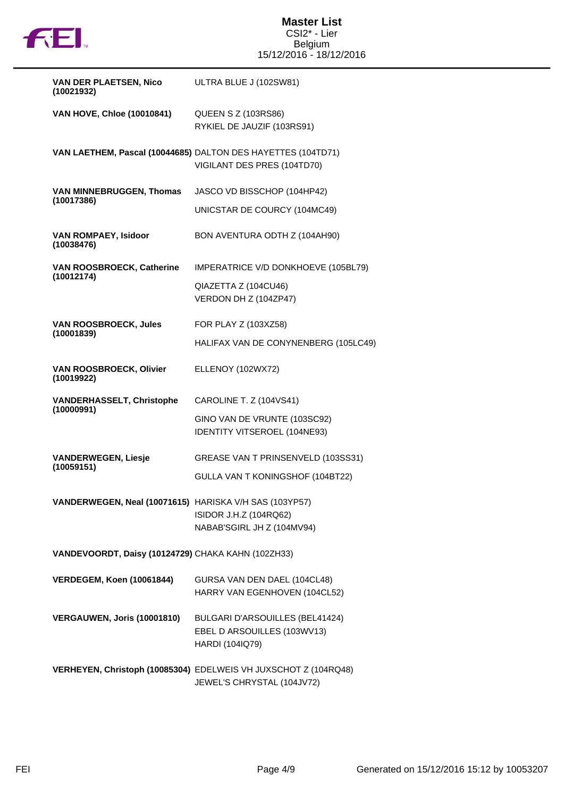

| <b>VAN DER PLAETSEN, Nico</b><br>(10021932)            | ULTRA BLUE J (102SW81)                                                                        |  |
|--------------------------------------------------------|-----------------------------------------------------------------------------------------------|--|
| <b>VAN HOVE, Chloe (10010841)</b>                      | <b>QUEEN S Z (103RS86)</b>                                                                    |  |
|                                                        | RYKIEL DE JAUZIF (103RS91)                                                                    |  |
|                                                        | VAN LAETHEM, Pascal (10044685) DALTON DES HAYETTES (104TD71)                                  |  |
|                                                        | VIGILANT DES PRES (104TD70)                                                                   |  |
| <b>VAN MINNEBRUGGEN, Thomas</b><br>(10017386)          | JASCO VD BISSCHOP (104HP42)                                                                   |  |
|                                                        | UNICSTAR DE COURCY (104MC49)                                                                  |  |
| <b>VAN ROMPAEY, Isidoor</b><br>(10038476)              | BON AVENTURA ODTH Z (104AH90)                                                                 |  |
| VAN ROOSBROECK, Catherine<br>(10012174)                | IMPERATRICE V/D DONKHOEVE (105BL79)                                                           |  |
|                                                        | QIAZETTA Z (104CU46)                                                                          |  |
|                                                        | VERDON DH Z (104ZP47)                                                                         |  |
| <b>VAN ROOSBROECK, Jules</b><br>(10001839)             | FOR PLAY Z (103XZ58)                                                                          |  |
|                                                        | HALIFAX VAN DE CONYNENBERG (105LC49)                                                          |  |
| <b>VAN ROOSBROECK, Olivier</b><br>(10019922)           | ELLENOY (102WX72)                                                                             |  |
| <b>VANDERHASSELT, Christophe</b><br>(10000991)         | CAROLINE T. Z (104VS41)                                                                       |  |
|                                                        | GINO VAN DE VRUNTE (103SC92)                                                                  |  |
|                                                        | IDENTITY VITSEROEL (104NE93)                                                                  |  |
| <b>VANDERWEGEN, Liesje</b><br>(10059151)               | GREASE VAN T PRINSENVELD (103SS31)                                                            |  |
|                                                        | GULLA VAN T KONINGSHOF (104BT22)                                                              |  |
| VANDERWEGEN, Neal (10071615) HARISKA V/H SAS (103YP57) |                                                                                               |  |
|                                                        | ISIDOR J.H.Z (104RQ62)                                                                        |  |
|                                                        | NABAB'SGIRL JH Z (104MV94)                                                                    |  |
| VANDEVOORDT, Daisy (10124729) CHAKA KAHN (102ZH33)     |                                                                                               |  |
| <b>VERDEGEM, Koen (10061844)</b>                       | GURSA VAN DEN DAEL (104CL48)                                                                  |  |
|                                                        | HARRY VAN EGENHOVEN (104CL52)                                                                 |  |
| VERGAUWEN, Joris (10001810)                            | BULGARI D'ARSOUILLES (BEL41424)                                                               |  |
|                                                        | EBEL D ARSOUILLES (103WV13)                                                                   |  |
|                                                        | HARDI (104IQ79)                                                                               |  |
|                                                        | VERHEYEN, Christoph (10085304) EDELWEIS VH JUXSCHOT Z (104RQ48)<br>JEWEL'S CHRYSTAL (104JV72) |  |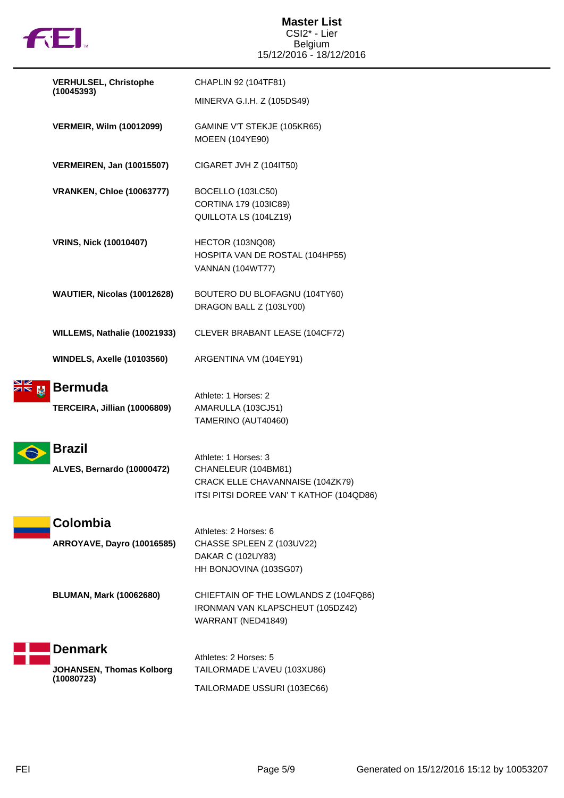

| <b>VERHULSEL, Christophe</b>                             | CHAPLIN 92 (104TF81)                                                                                                        |
|----------------------------------------------------------|-----------------------------------------------------------------------------------------------------------------------------|
| (10045393)                                               | MINERVA G.I.H. Z (105DS49)                                                                                                  |
| <b>VERMEIR, Wilm (10012099)</b>                          | GAMINE V'T STEKJE (105KR65)<br><b>MOEEN (104YE90)</b>                                                                       |
| <b>VERMEIREN, Jan (10015507)</b>                         | CIGARET JVH Z (104IT50)                                                                                                     |
| <b>VRANKEN, Chloe (10063777)</b>                         | BOCELLO (103LC50)<br>CORTINA 179 (103IC89)<br>QUILLOTA LS (104LZ19)                                                         |
| <b>VRINS, Nick (10010407)</b>                            | HECTOR (103NQ08)<br>HOSPITA VAN DE ROSTAL (104HP55)<br><b>VANNAN (104WT77)</b>                                              |
| WAUTIER, Nicolas (10012628)                              | BOUTERO DU BLOFAGNU (104TY60)<br>DRAGON BALL Z (103LY00)                                                                    |
| WILLEMS, Nathalie (10021933)                             | CLEVER BRABANT LEASE (104CF72)                                                                                              |
| <b>WINDELS, Axelle (10103560)</b>                        | ARGENTINA VM (104EY91)                                                                                                      |
| <b>Bermuda</b><br>TERCEIRA, Jillian (10006809)           | Athlete: 1 Horses: 2<br>AMARULLA (103CJ51)<br>TAMERINO (AUT40460)                                                           |
| <b>Brazil</b><br>ALVES, Bernardo (10000472)              | Athlete: 1 Horses: 3<br>CHANELEUR (104BM81)<br>CRACK ELLE CHAVANNAISE (104ZK79)<br>ITSI PITSI DOREE VAN' T KATHOF (104QD86) |
| Colombia<br><b>ARROYAVE, Dayro (10016585)</b>            | Athletes: 2 Horses: 6<br>CHASSE SPLEEN Z (103UV22)<br>DAKAR C (102UY83)<br>HH BONJOVINA (103SG07)                           |
| <b>BLUMAN, Mark (10062680)</b>                           | CHIEFTAIN OF THE LOWLANDS Z (104FQ86)<br>IRONMAN VAN KLAPSCHEUT (105DZ42)<br>WARRANT (NED41849)                             |
| <b>Denmark</b><br>JOHANSEN, Thomas Kolborg<br>(10080723) | Athletes: 2 Horses: 5<br>TAILORMADE L'AVEU (103XU86)<br>TAILORMADE USSURI (103EC66)                                         |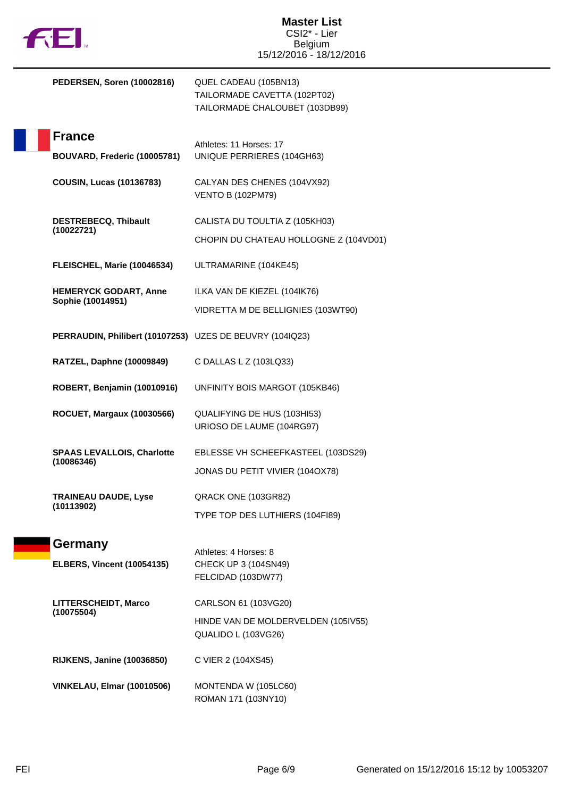

|  | PEDERSEN, Soren (10002816)                               | QUEL CADEAU (105BN13)<br>TAILORMADE CAVETTA (102PT02)<br>TAILORMADE CHALOUBET (103DB99) |
|--|----------------------------------------------------------|-----------------------------------------------------------------------------------------|
|  | <b>France</b>                                            |                                                                                         |
|  | BOUVARD, Frederic (10005781)                             | Athletes: 11 Horses: 17<br>UNIQUE PERRIERES (104GH63)                                   |
|  | <b>COUSIN, Lucas (10136783)</b>                          | CALYAN DES CHENES (104VX92)<br><b>VENTO B (102PM79)</b>                                 |
|  | <b>DESTREBECQ, Thibault</b>                              | CALISTA DU TOULTIA Z (105KH03)                                                          |
|  | (10022721)                                               | CHOPIN DU CHATEAU HOLLOGNE Z (104VD01)                                                  |
|  | FLEISCHEL, Marie (10046534)                              | ULTRAMARINE (104KE45)                                                                   |
|  | <b>HEMERYCK GODART, Anne</b>                             | ILKA VAN DE KIEZEL (104IK76)                                                            |
|  | Sophie (10014951)                                        | VIDRETTA M DE BELLIGNIES (103WT90)                                                      |
|  | PERRAUDIN, Philibert (10107253) UZES DE BEUVRY (104IQ23) |                                                                                         |
|  | RATZEL, Daphne (10009849)                                | C DALLAS L Z (103LQ33)                                                                  |
|  | ROBERT, Benjamin (10010916)                              | UNFINITY BOIS MARGOT (105KB46)                                                          |
|  | <b>ROCUET, Margaux (10030566)</b>                        | QUALIFYING DE HUS (103HI53)<br>URIOSO DE LAUME (104RG97)                                |
|  | <b>SPAAS LEVALLOIS, Charlotte</b>                        | EBLESSE VH SCHEEFKASTEEL (103DS29)                                                      |
|  | (10086346)                                               | JONAS DU PETIT VIVIER (104OX78)                                                         |
|  | <b>TRAINEAU DAUDE, Lyse</b><br>(10113902)                | QRACK ONE (103GR82)                                                                     |
|  |                                                          | TYPE TOP DES LUTHIERS (104FI89)                                                         |
|  | Germany                                                  |                                                                                         |
|  | <b>ELBERS, Vincent (10054135)</b>                        | Athletes: 4 Horses: 8<br>CHECK UP 3 (104SN49)                                           |
|  |                                                          | FELCIDAD (103DW77)                                                                      |
|  | LITTERSCHEIDT, Marco<br>(10075504)                       | CARLSON 61 (103VG20)                                                                    |
|  |                                                          | HINDE VAN DE MOLDERVELDEN (105IV55)<br>QUALIDO L (103VG26)                              |
|  | <b>RIJKENS, Janine (10036850)</b>                        | C VIER 2 (104XS45)                                                                      |
|  | <b>VINKELAU, Elmar (10010506)</b>                        | MONTENDA W (105LC60)<br>ROMAN 171 (103NY10)                                             |
|  |                                                          |                                                                                         |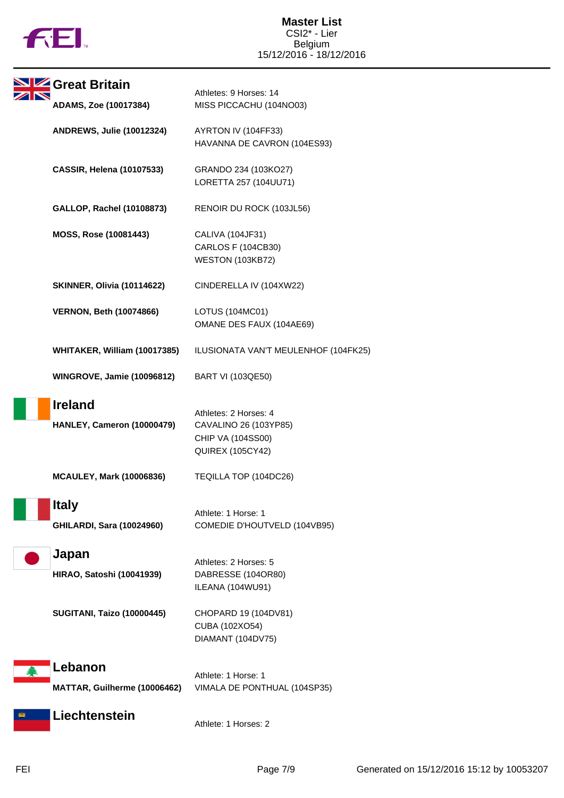

| Great Britain                                    | Athletes: 9 Horses: 14                                                                         |
|--------------------------------------------------|------------------------------------------------------------------------------------------------|
| <b>ADAMS, Zoe (10017384)</b>                     | MISS PICCACHU (104NO03)                                                                        |
| <b>ANDREWS, Julie (10012324)</b>                 | AYRTON IV (104FF33)<br>HAVANNA DE CAVRON (104ES93)                                             |
| <b>CASSIR, Helena (10107533)</b>                 | GRANDO 234 (103KO27)<br>LORETTA 257 (104UU71)                                                  |
| GALLOP, Rachel (10108873)                        | RENOIR DU ROCK (103JL56)                                                                       |
| MOSS, Rose (10081443)                            | CALIVA (104JF31)<br>CARLOS F (104CB30)<br><b>WESTON (103KB72)</b>                              |
| <b>SKINNER, Olivia (10114622)</b>                | CINDERELLA IV (104XW22)                                                                        |
| <b>VERNON, Beth (10074866)</b>                   | LOTUS (104MC01)<br>OMANE DES FAUX (104AE69)                                                    |
| WHITAKER, William (10017385)                     | ILUSIONATA VAN'T MEULENHOF (104FK25)                                                           |
| <b>WINGROVE, Jamie (10096812)</b>                | <b>BART VI (103QE50)</b>                                                                       |
| <b>Ireland</b><br>HANLEY, Cameron (10000479)     | Athletes: 2 Horses: 4<br>CAVALINO 26 (103YP85)<br>CHIP VA (104SS00)<br><b>QUIREX (105CY42)</b> |
| <b>MCAULEY, Mark (10006836)</b>                  | TEQILLA TOP (104DC26)                                                                          |
| <b>Italy</b><br><b>GHILARDI, Sara (10024960)</b> | Athlete: 1 Horse: 1<br>COMEDIE D'HOUTVELD (104VB95)                                            |
| Japan<br><b>HIRAO, Satoshi (10041939)</b>        | Athletes: 2 Horses: 5<br>DABRESSE (104OR80)<br>ILEANA (104WU91)                                |
| <b>SUGITANI, Taizo (10000445)</b>                | CHOPARD 19 (104DV81)<br>CUBA (102XO54)<br>DIAMANT (104DV75)                                    |
| Lebanon<br>MATTAR, Guilherme (10006462)          | Athlete: 1 Horse: 1<br>VIMALA DE PONTHUAL (104SP35)                                            |
| Liechtenstein                                    | Athlete: 1 Horses: 2                                                                           |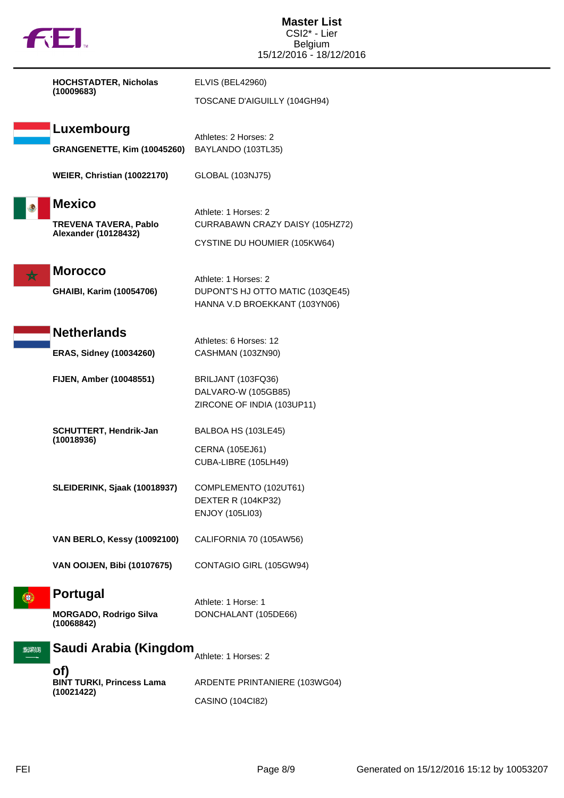| fil.                                                                         | <b>Master List</b><br>CSI2* - Lier<br>Belgium<br>15/12/2016 - 18/12/2016                  |
|------------------------------------------------------------------------------|-------------------------------------------------------------------------------------------|
| <b>HOCHSTADTER, Nicholas</b><br>(10009683)                                   | <b>ELVIS (BEL42960)</b><br>TOSCANE D'AIGUILLY (104GH94)                                   |
| Luxembourg                                                                   | Athletes: 2 Horses: 2                                                                     |
| GRANGENETTE, Kim (10045260)                                                  | BAYLANDO (103TL35)                                                                        |
| WEIER, Christian (10022170)                                                  | GLOBAL (103NJ75)                                                                          |
| <b>Mexico</b><br><b>TREVENA TAVERA, Pablo</b><br><b>Alexander (10128432)</b> | Athlete: 1 Horses: 2<br>CURRABAWN CRAZY DAISY (105HZ72)<br>CYSTINE DU HOUMIER (105KW64)   |
| <b>Morocco</b><br><b>GHAIBI, Karim (10054706)</b>                            | Athlete: 1 Horses: 2<br>DUPONT'S HJ OTTO MATIC (103QE45)<br>HANNA V.D BROEKKANT (103YN06) |
| <b>Netherlands</b>                                                           | Athletes: 6 Horses: 12                                                                    |
| <b>ERAS, Sidney (10034260)</b>                                               | CASHMAN (103ZN90)                                                                         |
| FIJEN, Amber (10048551)                                                      | BRILJANT (103FQ36)<br>DALVARO-W (105GB85)<br>ZIRCONE OF INDIA (103UP11)                   |
| <b>SCHUTTERT, Hendrik-Jan</b><br>(10018936)                                  | BALBOA HS (103LE45)<br>CERNA (105EJ61)<br>CUBA-LIBRE (105LH49)                            |
| SLEIDERINK, Sjaak (10018937)                                                 | COMPLEMENTO (102UT61)<br>DEXTER R (104KP32)<br><b>ENJOY (105LI03)</b>                     |
| <b>VAN BERLO, Kessy (10092100)</b>                                           | CALIFORNIA 70 (105AW56)                                                                   |
| <b>VAN OOIJEN, Bibi (10107675)</b>                                           | CONTAGIO GIRL (105GW94)                                                                   |
| Portugal<br><b>MORGADO, Rodrigo Silva</b><br>(10068842)                      | Athlete: 1 Horse: 1<br>DONCHALANT (105DE66)                                               |
| Saudi Arabia (Kingdom<br>2008131                                             | Athlete: 1 Horses: 2                                                                      |
| of)<br><b>BINT TURKI, Princess Lama</b><br>(10021422)                        | ARDENTE PRINTANIERE (103WG04)<br>CASINO (104Cl82)                                         |